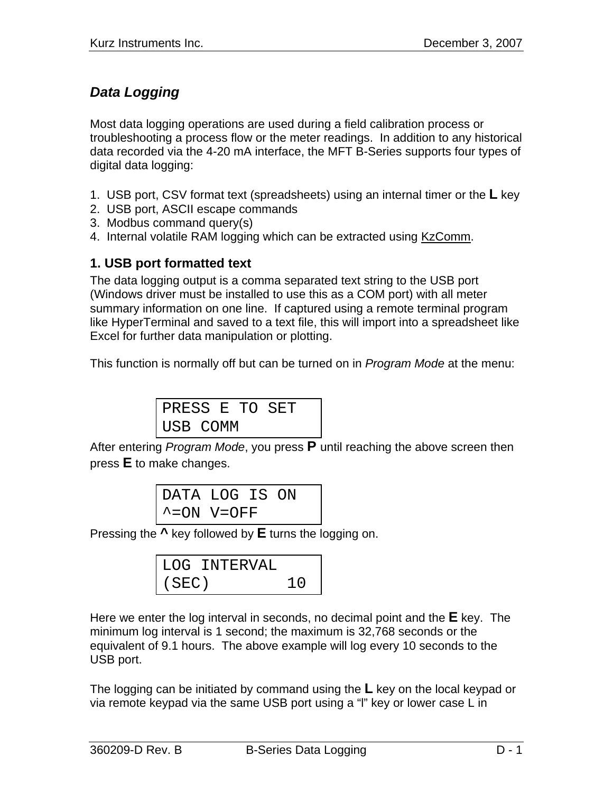# *Data Logging*

Most data logging operations are used during a field calibration process or troubleshooting a process flow or the meter readings. In addition to any historical data recorded via the 4-20 mA interface, the MFT B-Series supports four types of digital data logging:

- 1. USB port, CSV format text (spreadsheets) using an internal timer or the **L** key
- 2. USB port, ASCII escape commands
- 3. Modbus command query(s)
- 4. Internal volatile RAM logging which can be extracted using KzComm.

## **1. USB port formatted text**

The data logging output is a comma separated text string to the USB port (Windows driver must be installed to use this as a COM port) with all meter summary information on one line. If captured using a remote terminal program like HyperTerminal and saved to a text file, this will import into a spreadsheet like Excel for further data manipulation or plotting.

This function is normally off but can be turned on in *Program Mode* at the menu:

PRESS E TO SET USB COMM

After entering *Program Mode*, you press **P** until reaching the above screen then press **E** to make changes.

| DATA LOG IS ON             |  |  |
|----------------------------|--|--|
| $\textdegree$ = ON V = OFF |  |  |

Pressing the **^** key followed by **E** turns the logging on.

|       | LOG INTERVAL |            |
|-------|--------------|------------|
| (SEC) |              | $\perp$ () |

Here we enter the log interval in seconds, no decimal point and the **E** key. The minimum log interval is 1 second; the maximum is 32,768 seconds or the equivalent of 9.1 hours. The above example will log every 10 seconds to the USB port.

The logging can be initiated by command using the **L** key on the local keypad or via remote keypad via the same USB port using a "l" key or lower case L in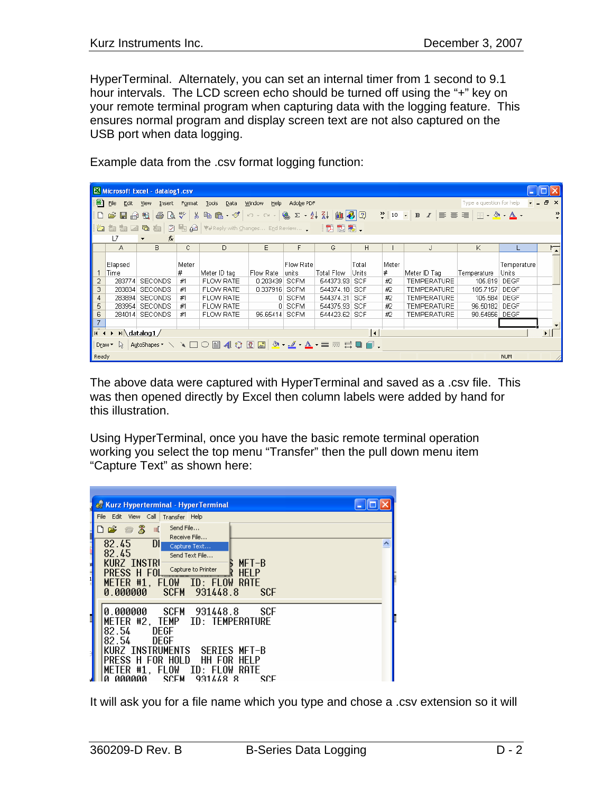HyperTerminal. Alternately, you can set an internal timer from 1 second to 9.1 hour intervals. The LCD screen echo should be turned off using the "+" key on your remote terminal program when capturing data with the logging feature. This ensures normal program and display screen text are not also captured on the USB port when data logging.

Example data from the .csv format logging function:

|                                                                                                                                                  | Microsoft Excel - datalog1.csv                                                                                  |                            |       |                  |           |             |                   |            |              |                    |               |             |    |
|--------------------------------------------------------------------------------------------------------------------------------------------------|-----------------------------------------------------------------------------------------------------------------|----------------------------|-------|------------------|-----------|-------------|-------------------|------------|--------------|--------------------|---------------|-------------|----|
| 图<br>Ð<br>File<br>Type a question for help<br>Edit<br><b>Tools</b><br>Window<br>Help<br>Adobe PDF<br><b>View</b><br>Insert Format<br><b>Data</b> |                                                                                                                 |                            |       |                  |           |             |                   |            | $\mathbf{x}$ |                    |               |             |    |
|                                                                                                                                                  |                                                                                                                 |                            |       |                  |           |             |                   | »          |              |                    |               |             |    |
|                                                                                                                                                  | <b>*2 ta ta 2 G &amp; (2 % G / Y</b> /Reply with Changes E <u>n</u> d Review . □ <mark>1 1 1 1 1 1 1 1</mark> 1 |                            |       |                  |           |             |                   |            |              |                    |               |             |    |
|                                                                                                                                                  | L7                                                                                                              | fx<br>$\blacktriangledown$ |       |                  |           |             |                   |            |              |                    |               |             |    |
|                                                                                                                                                  | А                                                                                                               | B                          | C     | D                | E         | F           | G                 | H          |              | J                  | K             |             | 「∡ |
|                                                                                                                                                  | Elapsed                                                                                                         |                            | Meter |                  |           | Flow Rate   |                   | Total      | Meter        |                    |               | Temperature |    |
|                                                                                                                                                  | Time                                                                                                            |                            | #     | Meter ID tag     | Flow Rate | lunits      | <b>Total Flow</b> | Units      | #            | Meter ID Tag       | Temperature   | Units       |    |
| 2                                                                                                                                                | 283774                                                                                                          | SECONDS                    | #1    | <b>FLOW RATE</b> | 0.203439  | <b>SCFM</b> | 544373.93         | <b>SCF</b> | #2           | <b>TEMPERATURE</b> | 105.819 DEGF  |             |    |
| 3                                                                                                                                                | 283834                                                                                                          | SECONDS                    | #1    | FLOW RATE        | 0.337916  | <b>SCFM</b> | 544374.18         | <b>SCF</b> | #2           | <b>TEMPERATURE</b> | 105.7157      | <b>DEGF</b> |    |
| 4                                                                                                                                                |                                                                                                                 | 283894 SECONDS             | #1    | <b>FLOW RATE</b> |           | 0 SCFM      | 544374.31         | l SCF      | #2           | <b>TEMPERATURE</b> | 105.584       | DEGF        |    |
| 5                                                                                                                                                |                                                                                                                 | 283954 SECONDS             | #1    | <b>FLOW RATE</b> |           | 0 SCFM      | 544375.93 SCF     |            | #2           | <b>TEMPERATURE</b> | 96.50182 DEGF |             |    |
| 6                                                                                                                                                |                                                                                                                 | 284014 SECONDS             | #1    | <b>FLOW RATE</b> | 95.65414  | <b>SCFM</b> | 544423.62 SCF     |            | #2           | <b>TEMPERATURE</b> | 90.54856 DEGF |             |    |
| $\overline{7}$                                                                                                                                   |                                                                                                                 |                            |       |                  |           |             |                   |            |              |                    |               |             |    |
| <b>H</b> <sub>4</sub><br>$\rightarrow$ $\mid$ M \datalog1 /<br>$\overline{1}$<br>$\blacktriangleright$                                           |                                                                                                                 |                            |       |                  |           |             |                   |            |              |                    |               |             |    |
| Draw 、 AutoShapes 、 \ \ □ ○ 圖 ◀! ☆ 図 図 <mark>. . _ / - _ _</mark> - _ _ 三 三 弓 ■ <i>■</i> .                                                       |                                                                                                                 |                            |       |                  |           |             |                   |            |              |                    |               |             |    |
| Ready                                                                                                                                            |                                                                                                                 |                            |       |                  |           |             |                   |            |              |                    |               | <b>NUM</b>  |    |

The above data were captured with HyperTerminal and saved as a .csv file. This was then opened directly by Excel then column labels were added by hand for this illustration.

Using HyperTerminal, once you have the basic remote terminal operation working you select the top menu "Transfer" then the pull down menu item "Capture Text" as shown here:

|   | <b>Kurz Hyperterminal - HyperTerminal</b>                                                                                                                                                                                                                              |  |
|---|------------------------------------------------------------------------------------------------------------------------------------------------------------------------------------------------------------------------------------------------------------------------|--|
|   | File Edit View Call<br>Transfer Help                                                                                                                                                                                                                                   |  |
| ▌ | Send File<br>$\mathbb{Z}$<br>$D \ncong \ncong$<br>Шľ<br>Receive File<br>82.45<br>Dh<br>Capture Text                                                                                                                                                                    |  |
|   | 82.45<br>Send Text File<br><b>KURZ INSTRI</b><br>$MFT - B$<br>Capture to Printer<br>PRESS H FOL<br>METER #1.<br>FLOW ID: FLOW<br>RATE<br>0.000000<br>931448.8<br><b>SCFM</b><br><b>SCF</b>                                                                             |  |
|   | 0.000000<br>SCFM 931448.8<br>SCF<br>METER #2, TEMP ID: TEMPERATURE<br>82.54<br>DEGF<br>82.54<br>DEGE<br>KURZ TNSTRUMENTS<br>SERTES MET-B<br>PRESS H FOR HOLD<br>HH FOR<br>HEI P<br>METER.<br>#1<br>FLOW.<br>RATE<br>-ID: FLOW<br>SCEM<br>SCE<br>aaaaaa<br>931448<br>-8 |  |

It will ask you for a file name which you type and chose a .csv extension so it will